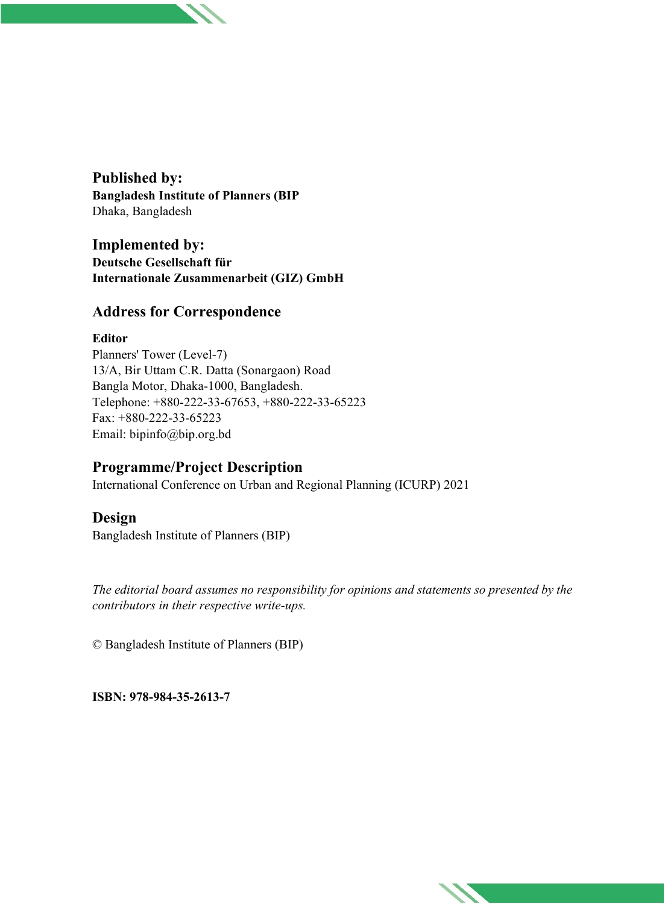**Published by: Bangladesh Institute of Planners (BIP** Dhaka, Bangladesh

**Implemented by: Deutsche Gesellschaft für Internationale Zusammenarbeit (GIZ) GmbH**

### **Address for Correspondence**

#### **Editor**

Planners' Tower (Level-7) 13/A, Bir Uttam C.R. Datta (Sonargaon) Road Bangla Motor, Dhaka-1000, Bangladesh. Telephone: +880-222-33-67653, +880-222-33-65223 Fax: +880-222-33-65223 Email: bipinfo@bip.org.bd

## **Programme/Project Description**

International Conference on Urban and Regional Planning (ICURP) 2021

## **Design**

Bangladesh Institute of Planners (BIP)

*The editorial board assumes no responsibility for opinions and statements so presented by the contributors in their respective write-ups.*

© Bangladesh Institute of Planners (BIP)

**ISBN: 978-984-35-2613-7**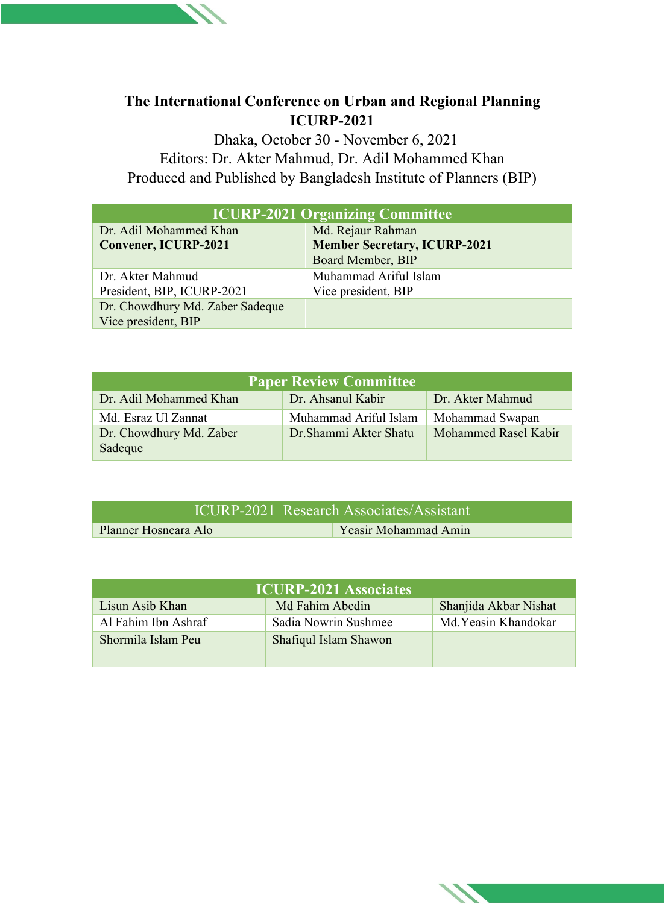# **The International Conference on Urban and Regional Planning ICURP-2021**

 Dhaka, October 30 - November 6, 2021 Editors: Dr. Akter Mahmud, Dr. Adil Mohammed Khan Produced and Published by Bangladesh Institute of Planners (BIP)

| <b>ICURP-2021 Organizing Committee</b>                 |                                                                               |  |
|--------------------------------------------------------|-------------------------------------------------------------------------------|--|
| Dr. Adil Mohammed Khan<br><b>Convener, ICURP-2021</b>  | Md. Rejaur Rahman<br><b>Member Secretary, ICURP-2021</b><br>Board Member, BIP |  |
| Dr. Akter Mahmud<br>President, BIP, ICURP-2021         | Muhammad Ariful Islam<br>Vice president, BIP                                  |  |
| Dr. Chowdhury Md. Zaber Sadeque<br>Vice president, BIP |                                                                               |  |

| <b>Paper Review Committee</b>      |                        |                      |  |  |
|------------------------------------|------------------------|----------------------|--|--|
| Dr. Adil Mohammed Khan             | Dr. Ahsanul Kabir      | Dr. Akter Mahmud     |  |  |
| Md. Esraz Ul Zannat                | Muhammad Ariful Islam  | Mohammad Swapan      |  |  |
| Dr. Chowdhury Md. Zaber<br>Sadeque | Dr. Shammi Akter Shatu | Mohammed Rasel Kabir |  |  |

| ICURP-2021 Research Associates/Assistant |  |                      |
|------------------------------------------|--|----------------------|
| Planner Hosneara Alo                     |  | Yeasir Mohammad Amin |

| <b>ICURP-2021 Associates</b> |                       |                       |  |
|------------------------------|-----------------------|-----------------------|--|
| Lisun Asib Khan              | Md Fahim Abedin       | Shanjida Akbar Nishat |  |
| Al Fahim Ibn Ashraf          | Sadia Nowrin Sushmee  | Md. Yeasin Khandokar  |  |
| Shormila Islam Peu           | Shafiqul Islam Shawon |                       |  |
|                              |                       |                       |  |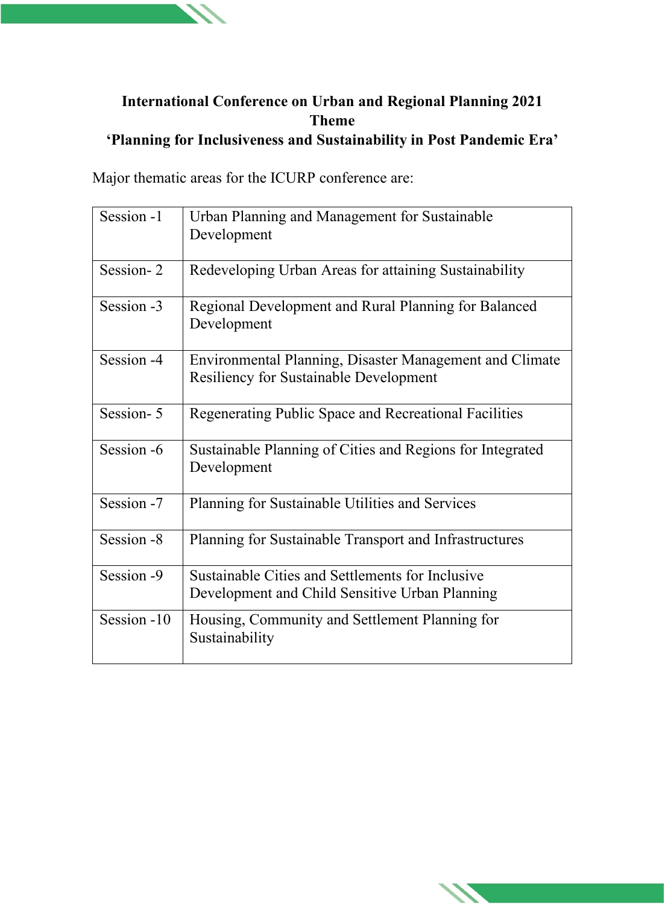# **International Conference on Urban and Regional Planning 2021 Theme 'Planning for Inclusiveness and Sustainability in Post Pandemic Era'**

Major thematic areas for the ICURP conference are:

| Session -1  | Urban Planning and Management for Sustainable<br>Development                                             |
|-------------|----------------------------------------------------------------------------------------------------------|
| Session-2   | Redeveloping Urban Areas for attaining Sustainability                                                    |
| Session -3  | Regional Development and Rural Planning for Balanced<br>Development                                      |
| Session -4  | Environmental Planning, Disaster Management and Climate<br><b>Resiliency for Sustainable Development</b> |
| Session-5   | Regenerating Public Space and Recreational Facilities                                                    |
| Session -6  | Sustainable Planning of Cities and Regions for Integrated<br>Development                                 |
| Session -7  | Planning for Sustainable Utilities and Services                                                          |
| Session -8  | Planning for Sustainable Transport and Infrastructures                                                   |
| Session -9  | Sustainable Cities and Settlements for Inclusive<br>Development and Child Sensitive Urban Planning       |
| Session -10 | Housing, Community and Settlement Planning for<br>Sustainability                                         |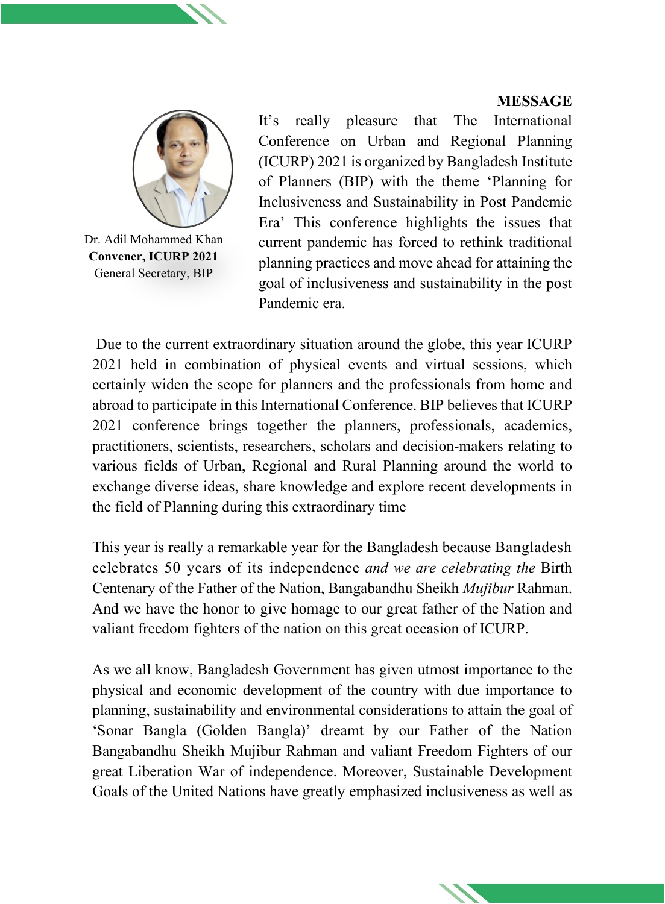#### **MESSAGE**



Dr. Adil Mohammed Khan **Convener, ICURP 2021** General Secretary, BIP

It's really pleasure that The International Conference on Urban and Regional Planning (ICURP) 2021 is organized by Bangladesh Institute of Planners (BIP) with the theme 'Planning for Inclusiveness and Sustainability in Post Pandemic Era' This conference highlights the issues that current pandemic has forced to rethink traditional planning practices and move ahead for attaining the goal of inclusiveness and sustainability in the post Pandemic era.

Due to the current extraordinary situation around the globe, this year ICURP 2021 held in combination of physical events and virtual sessions, which certainly widen the scope for planners and the professionals from home and abroad to participate in this International Conference. BIP believes that ICURP 2021 conference brings together the planners, professionals, academics, practitioners, scientists, researchers, scholars and decision-makers relating to various fields of Urban, Regional and Rural Planning around the world to exchange diverse ideas, share knowledge and explore recent developments in the field of Planning during this extraordinary time

This year is really a remarkable year for the Bangladesh because Bangladesh celebrates 50 years of its independence *and we are celebrating the* Birth Centenary of the Father of the Nation, Bangabandhu Sheikh *Mujibur* Rahman. And we have the honor to give homage to our great father of the Nation and valiant freedom fighters of the nation on this great occasion of ICURP.

As we all know, Bangladesh Government has given utmost importance to the physical and economic development of the country with due importance to planning, sustainability and environmental considerations to attain the goal of 'Sonar Bangla (Golden Bangla)' dreamt by our Father of the Nation Bangabandhu Sheikh Mujibur Rahman and valiant Freedom Fighters of our great Liberation War of independence. Moreover, Sustainable Development Goals of the United Nations have greatly emphasized inclusiveness as well as